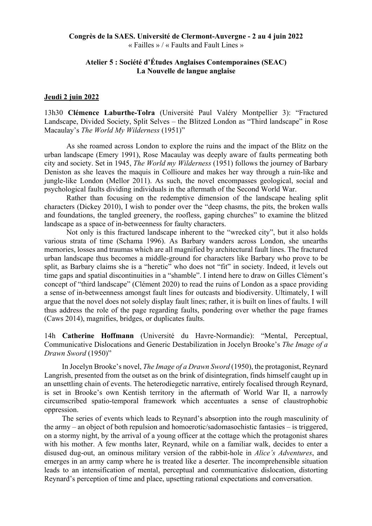# **Congrès de la SAES. Université de Clermont-Auvergne - 2 au 4 juin 2022** « Failles » / « Faults and Fault Lines »

# **Atelier 5 : Société d'Études Anglaises Contemporaines (SEAC) La Nouvelle de langue anglaise**

### **Jeudi 2 juin 2022**

13h30 **Clémence Laburthe-Tolra** (Université Paul Valéry Montpellier 3): "Fractured Landscape, Divided Society, Split Selves – the Blitzed London as "Third landscape" in Rose Macaulay's *The World My Wilderness* (1951)"

As she roamed across London to explore the ruins and the impact of the Blitz on the urban landscape (Emery 1991), Rose Macaulay was deeply aware of faults permeating both city and society. Set in 1945, *The World my Wilderness* (1951) follows the journey of Barbary Deniston as she leaves the maquis in Collioure and makes her way through a ruin-like and jungle-like London (Mellor 2011). As such, the novel encompasses geological, social and psychological faults dividing individuals in the aftermath of the Second World War.

Rather than focusing on the redemptive dimension of the landscape healing split characters (Dickey 2010), I wish to ponder over the "deep chasms, the pits, the broken walls and foundations, the tangled greenery, the roofless, gaping churches" to examine the blitzed landscape as a space of in-betweenness for faulty characters.

Not only is this fractured landscape inherent to the "wrecked city", but it also holds various strata of time (Schama 1996). As Barbary wanders across London, she unearths memories, losses and traumas which are all magnified by architectural fault lines. The fractured urban landscape thus becomes a middle-ground for characters like Barbary who prove to be split, as Barbary claims she is a "heretic" who does not "fit" in society. Indeed, it levels out time gaps and spatial discontinuities in a "shamble". I intend here to draw on Gilles Clément's concept of "third landscape" (Clément 2020) to read the ruins of London as a space providing a sense of in-betweenness amongst fault lines for outcasts and biodiversity. Ultimately, I will argue that the novel does not solely display fault lines; rather, it is built on lines of faults. I will thus address the role of the page regarding faults, pondering over whether the page frames (Caws 2014), magnifies, bridges, or duplicates faults.

14h **Catherine Hoffmann** (Université du Havre-Normandie): "Mental, Perceptual, Communicative Dislocations and Generic Destabilization in Jocelyn Brooke's *The Image of a Drawn Sword* (1950)"

In Jocelyn Brooke's novel, *The Image of a Drawn Sword* (1950), the protagonist, Reynard Langrish, presented from the outset as on the brink of disintegration, finds himself caught up in an unsettling chain of events. The heterodiegetic narrative, entirely focalised through Reynard, is set in Brooke's own Kentish territory in the aftermath of World War II, a narrowly circumscribed spatio-temporal framework which accentuates a sense of claustrophobic oppression.

The series of events which leads to Reynard's absorption into the rough masculinity of the army – an object of both repulsion and homoerotic/sadomasochistic fantasies – is triggered, on a stormy night, by the arrival of a young officer at the cottage which the protagonist shares with his mother. A few months later, Reynard, while on a familiar walk, decides to enter a disused dug-out, an ominous military version of the rabbit-hole in *Alice's Adventures*, and emerges in an army camp where he is treated like a deserter. The incomprehensible situation leads to an intensification of mental, perceptual and communicative dislocation, distorting Reynard's perception of time and place, upsetting rational expectations and conversation.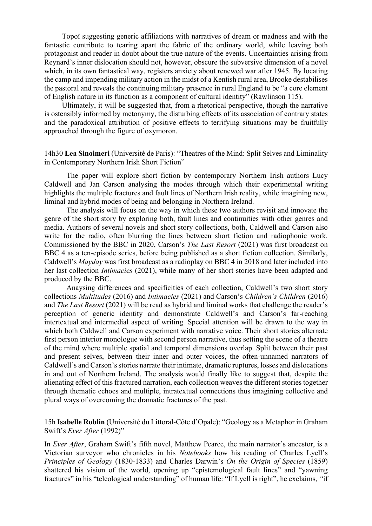Topoï suggesting generic affiliations with narratives of dream or madness and with the fantastic contribute to tearing apart the fabric of the ordinary world, while leaving both protagonist and reader in doubt about the true nature of the events. Uncertainties arising from Reynard's inner dislocation should not, however, obscure the subversive dimension of a novel which, in its own fantastical way, registers anxiety about renewed war after 1945. By locating the camp and impending military action in the midst of a Kentish rural area, Brooke destabilises the pastoral and reveals the continuing military presence in rural England to be "a core element of English nature in its function as a component of cultural identity" (Rawlinson 115).

Ultimately, it will be suggested that, from a rhetorical perspective, though the narrative is ostensibly informed by metonymy, the disturbing effects of its association of contrary states and the paradoxical attribution of positive effects to terrifying situations may be fruitfully approached through the figure of oxymoron.

# 14h30 **Lea Sinoimeri** (Université de Paris): "Theatres of the Mind: Split Selves and Liminality in Contemporary Northern Irish Short Fiction"

The paper will explore short fiction by contemporary Northern Irish authors Lucy Caldwell and Jan Carson analysing the modes through which their experimental writing highlights the multiple fractures and fault lines of Northern Irish reality, while imagining new, liminal and hybrid modes of being and belonging in Northern Ireland.

The analysis will focus on the way in which these two authors revisit and innovate the genre of the short story by exploring both, fault lines and continuities with other genres and media. Authors of several novels and short story collections, both, Caldwell and Carson also write for the radio, often blurring the lines between short fiction and radiophonic work. Commissioned by the BBC in 2020, Carson's *The Last Resort* (2021) was first broadcast on BBC 4 as a ten-episode series, before being published as a short fiction collection. Similarly, Caldwell's *Mayday* was first broadcast as a radioplay on BBC 4 in 2018 and later included into her last collection *Intimacies* (2021), while many of her short stories have been adapted and produced by the BBC.

Anaysing differences and specificities of each collection, Caldwell's two short story collections *Multitudes* (2016) and *Intimacies* (2021) and Carson's *Children's Children* (2016) and *The Last Resort* (2021) will be read as hybrid and liminal works that challenge the reader's perception of generic identity and demonstrate Caldwell's and Carson's far-reaching intertextual and intermedial aspect of writing. Special attention will be drawn to the way in which both Caldwell and Carson experiment with narrative voice. Their short stories alternate first person interior monologue with second person narrative, thus setting the scene of a theatre of the mind where multiple spatial and temporal dimensions overlap. Split between their past and present selves, between their inner and outer voices, the often-unnamed narrators of Caldwell's and Carson's stories narrate their intimate, dramatic ruptures, losses and dislocations in and out of Northern Ireland. The analysis would finally like to suggest that, despite the alienating effect of this fractured narration, each collection weaves the different stories together through thematic echoes and multiple, intratextual connections thus imagining collective and plural ways of overcoming the dramatic fractures of the past.

15h **Isabelle Roblin** (Université du Littoral-Côte d'Opale): "Geology as a Metaphor in Graham Swift's *Ever After* (1992)"

In *Ever After*, Graham Swift's fifth novel, Matthew Pearce, the main narrator's ancestor, is a Victorian surveyor who chronicles in his *Notebooks* how his reading of Charles Lyell's *Principles of Geology* (1830-1833) and Charles Darwin's *On the Origin of Species* (1859) shattered his vision of the world, opening up "epistemological fault lines" and "yawning fractures" in his "teleological understanding" of human life: "If Lyell is right", he exclaims, *"*if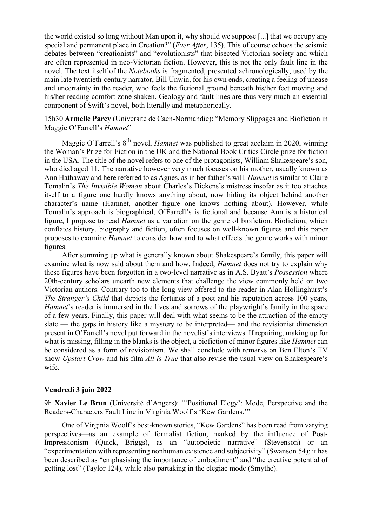the world existed so long without Man upon it, why should we suppose [...] that we occupy any special and permanent place in Creation?" (*Ever After*, 135). This of course echoes the seismic debates between "creationists" and "evolutionists" that bisected Victorian society and which are often represented in neo-Victorian fiction. However, this is not the only fault line in the novel. The text itself of the *Notebooks* is fragmented, presented achronologically, used by the main late twentieth-century narrator, Bill Unwin, for his own ends, creating a feeling of unease and uncertainty in the reader, who feels the fictional ground beneath his/her feet moving and his/her reading comfort zone shaken. Geology and fault lines are thus very much an essential component of Swift's novel, both literally and metaphorically.

15h30 **Armelle Parey** (Université de Caen-Normandie): "Memory Slippages and Biofiction in Maggie O'Farrell's *Hamnet*"

Maggie O'Farrell's 8<sup>th</sup> novel, *Hamnet* was published to great acclaim in 2020, winning the Woman's Prize for Fiction in the UK and the National Book Critics Circle prize for fiction in the USA. The title of the novel refers to one of the protagonists, William Shakespeare's son, who died aged 11. The narrative however very much focuses on his mother, usually known as Ann Hathaway and here referred to as Agnes, as in her father's will. *Hamnet* is similar to Claire Tomalin's *The Invisible Woman* about Charles's Dickens's mistress insofar as it too attaches itself to a figure one hardly knows anything about, now hiding its object behind another character's name (Hamnet, another figure one knows nothing about). However, while Tomalin's approach is biographical, O'Farrell's is fictional and because Ann is a historical figure, I propose to read *Hamnet* as a variation on the genre of biofiction. Biofiction, which conflates history, biography and fiction, often focuses on well-known figures and this paper proposes to examine *Hamnet* to consider how and to what effects the genre works with minor figures.

After summing up what is generally known about Shakespeare's family, this paper will examine what is now said about them and how. Indeed, *Hamnet* does not try to explain why these figures have been forgotten in a two-level narrative as in A.S. Byatt's *Possession* where 20th-century scholars unearth new elements that challenge the view commonly held on two Victorian authors. Contrary too to the long view offered to the reader in Alan Hollinghurst's *The Stranger's Child* that depicts the fortunes of a poet and his reputation across 100 years, *Hamnet*'s reader is immersed in the lives and sorrows of the playwright's family in the space of a few years. Finally, this paper will deal with what seems to be the attraction of the empty slate — the gaps in history like a mystery to be interpreted— and the revisionist dimension present in O'Farrell's novel put forward in the novelist's interviews. If repairing, making up for what is missing, filling in the blanks is the object, a biofiction of minor figures like *Hamnet* can be considered as a form of revisionism. We shall conclude with remarks on Ben Elton's TV show *Upstart Crow* and his film *All is True* that also revise the usual view on Shakespeare's wife.

#### **Vendredi 3 juin 2022**

9h **Xavier Le Brun** (Université d'Angers): "'Positional Elegy': Mode, Perspective and the Readers-Characters Fault Line in Virginia Woolf's 'Kew Gardens.'"

One of Virginia Woolf's best-known stories, "Kew Gardens" has been read from varying perspectives—as an example of formalist fiction, marked by the influence of Post-Impressionism (Quick, Briggs), as an "autopoietic narrative" (Stevenson) or an "experimentation with representing nonhuman existence and subjectivity" (Swanson 54); it has been described as "emphasising the importance of embodiment" and "the creative potential of getting lost" (Taylor 124), while also partaking in the elegiac mode (Smythe).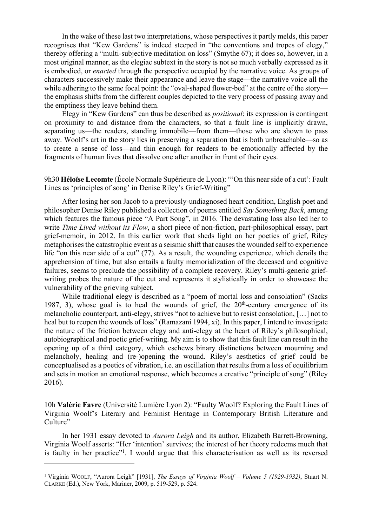In the wake of these last two interpretations, whose perspectives it partly melds, this paper recognises that "Kew Gardens" is indeed steeped in "the conventions and tropes of elegy," thereby offering a "multi-subjective meditation on loss" (Smythe 67); it does so, however, in a most original manner, as the elegiac subtext in the story is not so much verbally expressed as it is embodied, or *enacted* through the perspective occupied by the narrative voice. As groups of characters successively make their appearance and leave the stage—the narrative voice all the while adhering to the same focal point: the "oval-shaped flower-bed" at the centre of the story the emphasis shifts from the different couples depicted to the very process of passing away and the emptiness they leave behind them.

Elegy in "Kew Gardens" can thus be described as *positional*: its expression is contingent on proximity to and distance from the characters, so that a fault line is implicitly drawn, separating us—the readers, standing immobile—from them—those who are shown to pass away. Woolf's art in the story lies in preserving a separation that is both unbreachable—so as to create a sense of loss—and thin enough for readers to be emotionally affected by the fragments of human lives that dissolve one after another in front of their eyes.

9h30 **Héloïse Lecomte** (École Normale Supérieure de Lyon): "'On this near side of a cut': Fault Lines as 'principles of song' in Denise Riley's Grief-Writing"

After losing her son Jacob to a previously-undiagnosed heart condition, English poet and philosopher Denise Riley published a collection of poems entitled *Say Something Back*, among which features the famous piece "A Part Song", in 2016. The devastating loss also led her to write *Time Lived without its Flow*, a short piece of non-fiction, part-philosophical essay, part grief-memoir, in 2012. In this earlier work that sheds light on her poetics of grief, Riley metaphorises the catastrophic event as a seismic shift that causes the wounded self to experience life "on this near side of a cut" (77). As a result, the wounding experience, which derails the apprehension of time, but also entails a faulty memorialization of the deceased and cognitive failures, seems to preclude the possibility of a complete recovery. Riley's multi-generic griefwriting probes the nature of the cut and represents it stylistically in order to showcase the vulnerability of the grieving subject.

While traditional elegy is described as a "poem of mortal loss and consolation" (Sacks 1987, 3), whose goal is to heal the wounds of grief, the  $20<sup>th</sup>$ -century emergence of its melancholic counterpart, anti-elegy, strives "not to achieve but to resist consolation, […] not to heal but to reopen the wounds of loss" (Ramazani 1994, xi). In this paper, I intend to investigate the nature of the friction between elegy and anti-elegy at the heart of Riley's philosophical, autobiographical and poetic grief-writing. My aim is to show that this fault line can result in the opening up of a third category, which eschews binary distinctions between mourning and melancholy, healing and (re-)opening the wound. Riley's aesthetics of grief could be conceptualised as a poetics of vibration, i.e. an oscillation that results from a loss of equilibrium and sets in motion an emotional response, which becomes a creative "principle of song" (Riley 2016).

10h **Valérie Favre** (Université Lumière Lyon 2): "Faulty Woolf? Exploring the Fault Lines of Virginia Woolf's Literary and Feminist Heritage in Contemporary British Literature and Culture"

In her 1931 essay devoted to *Aurora Leigh* and its author, Elizabeth Barrett-Browning, Virginia Woolf asserts: "Her 'intention' survives; the interest of her theory redeems much that is faulty in her practice"<sup>1</sup>. I would argue that this characterisation as well as its reversed

<sup>1</sup> Virginia WOOLF, "Aurora Leigh" [1931], *The Essays of Virginia Woolf – Volume 5 (1929-1932)*, Stuart N. CLARKE (Ed.), New York, Mariner, 2009, p. 519-529, p. 524.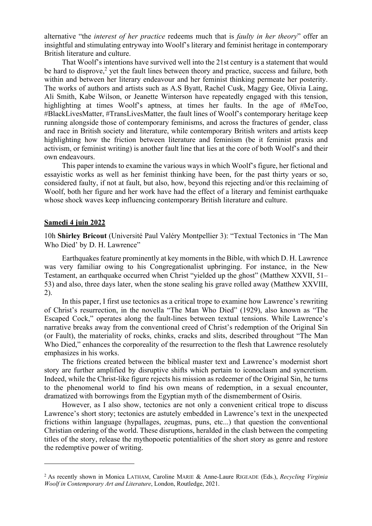alternative "the *interest of her practice* redeems much that is *faulty in her theory*" offer an insightful and stimulating entryway into Woolf's literary and feminist heritage in contemporary British literature and culture.

That Woolf's intentions have survived well into the 21st century is a statement that would be hard to disprove, <sup>2</sup> yet the fault lines between theory and practice, success and failure, both within and between her literary endeavour and her feminist thinking permeate her posterity. The works of authors and artists such as A.S Byatt, Rachel Cusk, Maggy Gee, Olivia Laing, Ali Smith, Kabe Wilson, or Jeanette Winterson have repeatedly engaged with this tension, highlighting at times Woolf's aptness, at times her faults. In the age of #MeToo, #BlackLivesMatter, #TransLivesMatter, the fault lines of Woolf's contemporary heritage keep running alongside those of contemporary feminisms, and across the fractures of gender, class and race in British society and literature, while contemporary British writers and artists keep highlighting how the friction between literature and feminism (be it feminist praxis and activism, or feminist writing) is another fault line that lies at the core of both Woolf's and their own endeavours.

This paper intends to examine the various ways in which Woolf's figure, her fictional and essayistic works as well as her feminist thinking have been, for the past thirty years or so, considered faulty, if not at fault, but also, how, beyond this rejecting and/or this reclaiming of Woolf, both her figure and her work have had the effect of a literary and feminist earthquake whose shock waves keep influencing contemporary British literature and culture.

#### **Samedi 4 juin 2022**

10h **Shirley Bricout** (Université Paul Valéry Montpellier 3): "Textual Tectonics in 'The Man Who Died' by D. H. Lawrence"

Earthquakes feature prominently at key moments in the Bible, with which D. H. Lawrence was very familiar owing to his Congregationalist upbringing. For instance, in the New Testament, an earthquake occurred when Christ "yielded up the ghost" (Matthew XXVII, 51– 53) and also, three days later, when the stone sealing his grave rolled away (Matthew XXVIII, 2).

In this paper, I first use tectonics as a critical trope to examine how Lawrence's rewriting of Christ's resurrection, in the novella "The Man Who Died" (1929), also known as "The Escaped Cock," operates along the fault-lines between textual tensions. While Lawrence's narrative breaks away from the conventional creed of Christ's redemption of the Original Sin (or Fault), the materiality of rocks, chinks, cracks and slits, described throughout "The Man Who Died," enhances the corporeality of the resurrection to the flesh that Lawrence resolutely emphasizes in his works.

The frictions created between the biblical master text and Lawrence's modernist short story are further amplified by disruptive shifts which pertain to iconoclasm and syncretism. Indeed, while the Christ-like figure rejects his mission as redeemer of the Original Sin, he turns to the phenomenal world to find his own means of redemption, in a sexual encounter, dramatized with borrowings from the Egyptian myth of the dismemberment of Osiris.

However, as I also show, tectonics are not only a convenient critical trope to discuss Lawrence's short story; tectonics are astutely embedded in Lawrence's text in the unexpected frictions within language (hypallages, zeugmas, puns, etc...) that question the conventional Christian ordering of the world. These disruptions, heralded in the clash between the competing titles of the story, release the mythopoetic potentialities of the short story as genre and restore the redemptive power of writing.

<sup>2</sup> As recently shown in Monica LATHAM, Caroline MARIE & Anne-Laure RIGEADE (Eds.), *Recycling Virginia Woolf in Contemporary Art and Literature*, London, Routledge, 2021.